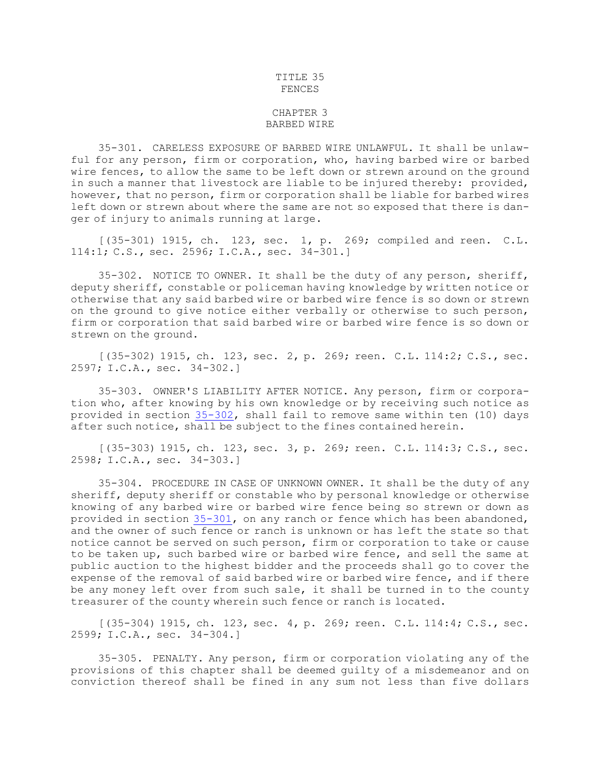## TITLE 35 FENCES

## CHAPTER 3 BARBED WIRE

35-301. CARELESS EXPOSURE OF BARBED WIRE UNLAWFUL. It shall be unlawful for any person, firm or corporation, who, having barbed wire or barbed wire fences, to allow the same to be left down or strewn around on the ground in such <sup>a</sup> manner that livestock are liable to be injured thereby: provided, however, that no person, firm or corporation shall be liable for barbed wires left down or strewn about where the same are not so exposed that there is danger of injury to animals running at large.

[(35-301) 1915, ch. 123, sec. 1, p. 269; compiled and reen. C.L. 114:1; C.S., sec. 2596; I.C.A., sec. 34-301.]

35-302. NOTICE TO OWNER. It shall be the duty of any person, sheriff, deputy sheriff, constable or policeman having knowledge by written notice or otherwise that any said barbed wire or barbed wire fence is so down or strewn on the ground to give notice either verbally or otherwise to such person, firm or corporation that said barbed wire or barbed wire fence is so down or strewn on the ground.

[(35-302) 1915, ch. 123, sec. 2, p. 269; reen. C.L. 114:2; C.S., sec. 2597; I.C.A., sec. 34-302.]

35-303. OWNER'S LIABILITY AFTER NOTICE. Any person, firm or corporation who, after knowing by his own knowledge or by receiving such notice as provided in section [35-302](https://legislature.idaho.gov/statutesrules/idstat/Title35/T35CH3/SECT35-302), shall fail to remove same within ten (10) days after such notice, shall be subject to the fines contained herein.

[(35-303) 1915, ch. 123, sec. 3, p. 269; reen. C.L. 114:3; C.S., sec. 2598; I.C.A., sec. 34-303.]

35-304. PROCEDURE IN CASE OF UNKNOWN OWNER. It shall be the duty of any sheriff, deputy sheriff or constable who by personal knowledge or otherwise knowing of any barbed wire or barbed wire fence being so strewn or down as provided in section [35-301](https://legislature.idaho.gov/statutesrules/idstat/Title35/T35CH3/SECT35-301), on any ranch or fence which has been abandoned, and the owner of such fence or ranch is unknown or has left the state so that notice cannot be served on such person, firm or corporation to take or cause to be taken up, such barbed wire or barbed wire fence, and sell the same at public auction to the highest bidder and the proceeds shall go to cover the expense of the removal of said barbed wire or barbed wire fence, and if there be any money left over from such sale, it shall be turned in to the county treasurer of the county wherein such fence or ranch is located.

 $[(35-304) 1915, ch. 123, sec. 4, p. 269; reen. C.L. 114:4; C.S., sec.$ 2599; I.C.A., sec. 34-304.]

35-305. PENALTY. Any person, firm or corporation violating any of the provisions of this chapter shall be deemed guilty of <sup>a</sup> misdemeanor and on conviction thereof shall be fined in any sum not less than five dollars